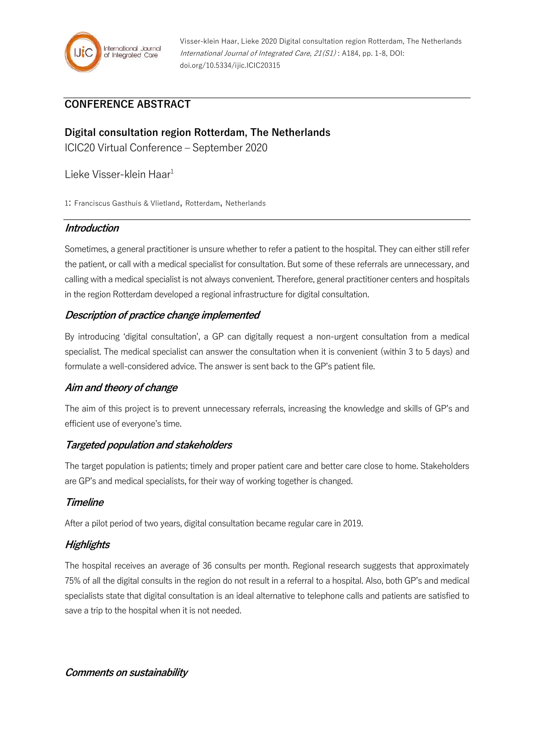

# **CONFERENCE ABSTRACT**

# **Digital consultation region Rotterdam, The Netherlands**

ICIC20 Virtual Conference – September 2020

Lieke Visser-klein Haar<sup>1</sup>

1: Franciscus Gasthuis & Vlietland, Rotterdam, Netherlands

## **Introduction**

Sometimes, a general practitioner is unsure whether to refer a patient to the hospital. They can either still refer the patient, or call with a medical specialist for consultation. But some of these referrals are unnecessary, and calling with a medical specialist is not always convenient. Therefore, general practitioner centers and hospitals in the region Rotterdam developed a regional infrastructure for digital consultation.

## **Description of practice change implemented**

By introducing 'digital consultation', a GP can digitally request a non-urgent consultation from a medical specialist. The medical specialist can answer the consultation when it is convenient (within 3 to 5 days) and formulate a well-considered advice. The answer is sent back to the GP's patient file.

## **Aim and theory of change**

The aim of this project is to prevent unnecessary referrals, increasing the knowledge and skills of GP's and efficient use of everyone's time.

## **Targeted population and stakeholders**

The target population is patients; timely and proper patient care and better care close to home. Stakeholders are GP's and medical specialists, for their way of working together is changed.

## **Timeline**

After a pilot period of two years, digital consultation became regular care in 2019.

## **Highlights**

The hospital receives an average of 36 consults per month. Regional research suggests that approximately 75% of all the digital consults in the region do not result in a referral to a hospital. Also, both GP's and medical specialists state that digital consultation is an ideal alternative to telephone calls and patients are satisfied to save a trip to the hospital when it is not needed.

**Comments on sustainability**